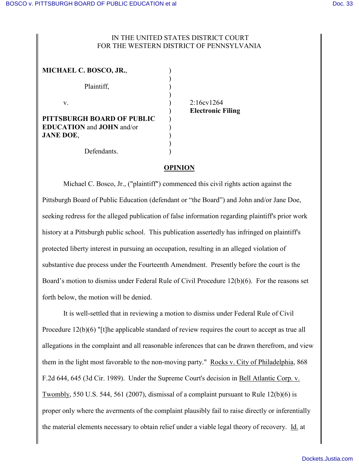## IN THE UNITED STATES DISTRICT COURT FOR THE WESTERN DISTRICT OF PENNSYLVANIA

| MICHAEL C. BOSCO, JR.,                                                             |  |
|------------------------------------------------------------------------------------|--|
| Plaintiff,                                                                         |  |
| V.                                                                                 |  |
| PITTSBURGH BOARD OF PUBLIC<br><b>EDUCATION</b> and <b>JOHN</b> and/or<br>JANE DOE, |  |
| Defendants.                                                                        |  |

2:16cv1264 ) **Electronic Filing**

## **OPINION**

Michael C. Bosco, Jr., ("plaintiff") commenced this civil rights action against the Pittsburgh Board of Public Education (defendant or "the Board") and John and/or Jane Doe, seeking redress for the alleged publication of false information regarding plaintiff's prior work history at a Pittsburgh public school. This publication assertedly has infringed on plaintiff's protected liberty interest in pursuing an occupation, resulting in an alleged violation of substantive due process under the Fourteenth Amendment. Presently before the court is the Board's motion to dismiss under Federal Rule of Civil Procedure 12(b)(6). For the reasons set forth below, the motion will be denied.

It is well-settled that in reviewing a motion to dismiss under Federal Rule of Civil Procedure 12(b)(6) "[t]he applicable standard of review requires the court to accept as true all allegations in the complaint and all reasonable inferences that can be drawn therefrom, and view them in the light most favorable to the non-moving party." Rocks v. City of Philadelphia, 868 F.2d 644, 645 (3d Cir. 1989). Under the Supreme Court's decision in Bell Atlantic Corp. v. Twombly, 550 U.S. 544, 561 (2007), dismissal of a complaint pursuant to Rule 12(b)(6) is proper only where the averments of the complaint plausibly fail to raise directly or inferentially the material elements necessary to obtain relief under a viable legal theory of recovery. Id. at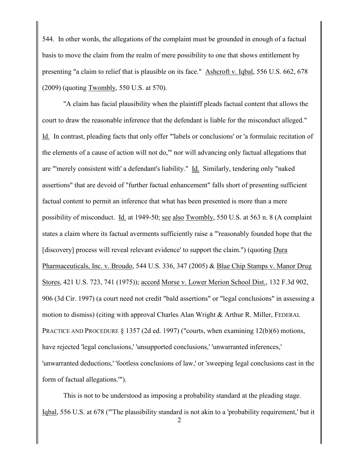544. In other words, the allegations of the complaint must be grounded in enough of a factual basis to move the claim from the realm of mere possibility to one that shows entitlement by presenting "a claim to relief that is plausible on its face." Ashcroft v. Iqbal, 556 U.S. 662, 678 (2009) (quoting Twombly, 550 U.S. at 570).

"A claim has facial plausibility when the plaintiff pleads factual content that allows the court to draw the reasonable inference that the defendant is liable for the misconduct alleged." Id. In contrast, pleading facts that only offer "'labels or conclusions' or 'a formulaic recitation of the elements of a cause of action will not do,'" nor will advancing only factual allegations that are "'merely consistent with' a defendant's liability." Id. Similarly, tendering only "naked assertions" that are devoid of "further factual enhancement" falls short of presenting sufficient factual content to permit an inference that what has been presented is more than a mere possibility of misconduct. Id. at 1949-50; see also Twombly, 550 U.S. at 563 n. 8 (A complaint states a claim where its factual averments sufficiently raise a "'reasonably founded hope that the [discovery] process will reveal relevant evidence' to support the claim.") (quoting Dura Pharmaceuticals, Inc. v. Broudo, 544 U.S. 336, 347 (2005) & Blue Chip Stamps v. Manor Drug Stores, 421 U.S. 723, 741 (1975)); accord Morse v. Lower Merion School Dist., 132 F.3d 902, 906 (3d Cir. 1997) (a court need not credit "bald assertions" or "legal conclusions" in assessing a motion to dismiss) (citing with approval Charles Alan Wright & Arthur R. Miller, FEDERAL PRACTICE AND PROCEDURE § 1357 (2d ed. 1997) ("courts, when examining 12(b)(6) motions, have rejected 'legal conclusions,' 'unsupported conclusions,' 'unwarranted inferences,' 'unwarranted deductions,' 'footless conclusions of law,' or 'sweeping legal conclusions cast in the form of factual allegations.'").

This is not to be understood as imposing a probability standard at the pleading stage. Iqbal, 556 U.S. at 678 ("'The plausibility standard is not akin to a 'probability requirement,' but it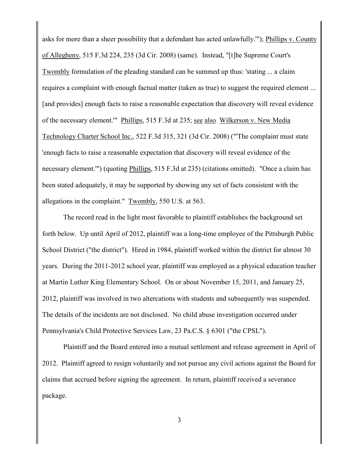asks for more than a sheer possibility that a defendant has acted unlawfully.'"); Phillips v. County of Allegheny, 515 F.3d 224, 235 (3d Cir. 2008) (same). Instead, "[t]he Supreme Court's Twombly formulation of the pleading standard can be summed up thus: 'stating ... a claim requires a complaint with enough factual matter (taken as true) to suggest the required element ... [and provides] enough facts to raise a reasonable expectation that discovery will reveal evidence of the necessary element.'" Phillips, 515 F.3d at 235; see also Wilkerson v. New Media Technology Charter School Inc., 522 F.3d 315, 321 (3d Cir. 2008) ("'The complaint must state 'enough facts to raise a reasonable expectation that discovery will reveal evidence of the necessary element.'") (quoting Phillips, 515 F.3d at 235) (citations omitted). "Once a claim has been stated adequately, it may be supported by showing any set of facts consistent with the allegations in the complaint." Twombly, 550 U.S. at 563.

The record read in the light most favorable to plaintiff establishes the background set forth below. Up until April of 2012, plaintiff was a long-time employee of the Pittsburgh Public School District ("the district"). Hired in 1984, plaintiff worked within the district for almost 30 years. During the 2011-2012 school year, plaintiff was employed as a physical education teacher at Martin Luther King Elementary School. On or about November 15, 2011, and January 25, 2012, plaintiff was involved in two altercations with students and subsequently was suspended. The details of the incidents are not disclosed. No child abuse investigation occurred under Pennsylvania's Child Protective Services Law, 23 Pa.C.S. § 6301 ("the CPSL").

Plaintiff and the Board entered into a mutual settlement and release agreement in April of 2012. Plaintiff agreed to resign voluntarily and not pursue any civil actions against the Board for claims that accrued before signing the agreement. In return, plaintiff received a severance package.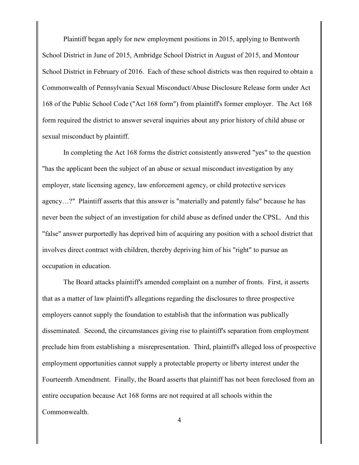Plaintiff began apply for new employment positions in 2015, applying to Bentworth School District in June of 2015, Ambridge School District in August of 2015, and Montour School District in February of 2016. Each of these school districts was then required to obtain a Commonwealth of Pennsylvania Sexual Misconduct/Abuse Disclosure Release form under Act 168 of the Public School Code ("Act 168 form") from plaintiff's former employer. The Act 168 form required the district to answer several inquiries about any prior history of child abuse or sexual misconduct by plaintiff.

In completing the Act 168 forms the district consistently answered "yes" to the question "has the applicant been the subject of an abuse or sexual misconduct investigation by any employer, state licensing agency, law enforcement agency, or child protective services agency…?" Plaintiff asserts that this answer is "materially and patently false" because he has never been the subject of an investigation for child abuse as defined under the CPSL. And this "false" answer purportedly has deprived him of acquiring any position with a school district that involves direct contract with children, thereby depriving him of his "right" to pursue an occupation in education.

The Board attacks plaintiff's amended complaint on a number of fronts. First, it asserts that as a matter of law plaintiff's allegations regarding the disclosures to three prospective employers cannot supply the foundation to establish that the information was publically disseminated. Second, the circumstances giving rise to plaintiff's separation from employment preclude him from establishing a misrepresentation. Third, plaintiff's alleged loss of prospective employment opportunities cannot supply a protectable property or liberty interest under the Fourteenth Amendment. Finally, the Board asserts that plaintiff has not been foreclosed from an entire occupation because Act 168 forms are not required at all schools within the Commonwealth.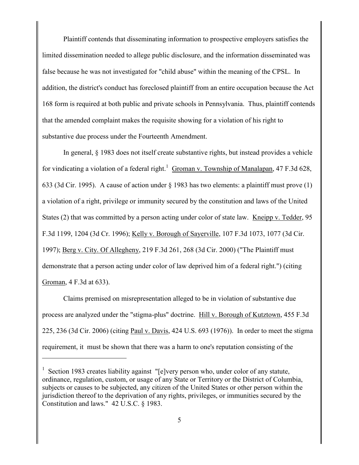Plaintiff contends that disseminating information to prospective employers satisfies the limited dissemination needed to allege public disclosure, and the information disseminated was false because he was not investigated for "child abuse" within the meaning of the CPSL. In addition, the district's conduct has foreclosed plaintiff from an entire occupation because the Act 168 form is required at both public and private schools in Pennsylvania. Thus, plaintiff contends that the amended complaint makes the requisite showing for a violation of his right to substantive due process under the Fourteenth Amendment.

In general, § 1983 does not itself create substantive rights, but instead provides a vehicle for vindicating a violation of a federal right.<sup>1</sup> Groman v. Township of Manalapan, 47 F.3d 628, 633 (3d Cir. 1995). A cause of action under § 1983 has two elements: a plaintiff must prove (1) a violation of a right, privilege or immunity secured by the constitution and laws of the United States (2) that was committed by a person acting under color of state law. Kneipp v. Tedder, 95 F.3d 1199, 1204 (3d Cr. 1996); Kelly v. Borough of Sayerville, 107 F.3d 1073, 1077 (3d Cir. 1997); Berg v. City. Of Allegheny, 219 F.3d 261, 268 (3d Cir. 2000) ("The Plaintiff must demonstrate that a person acting under color of law deprived him of a federal right.") (citing Groman, 4 F.3d at 633).

Claims premised on misrepresentation alleged to be in violation of substantive due process are analyzed under the "stigma-plus" doctrine. Hill v. Borough of Kutztown, 455 F.3d 225, 236 (3d Cir. 2006) (citing Paul v. Davis, 424 U.S. 693 (1976)). In order to meet the stigma requirement, it must be shown that there was a harm to one's reputation consisting of the

 $\overline{a}$ 

<sup>&</sup>lt;sup>1</sup> Section 1983 creates liability against "[e]very person who, under color of any statute, ordinance, regulation, custom, or usage of any State or Territory or the District of Columbia, subjects or causes to be subjected, any citizen of the United States or other person within the jurisdiction thereof to the deprivation of any rights, privileges, or immunities secured by the Constitution and laws." 42 U.S.C. § 1983.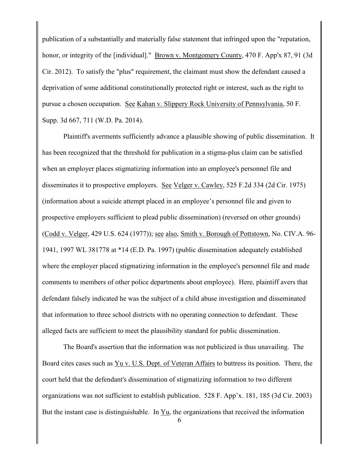publication of a substantially and materially false statement that infringed upon the "reputation, honor, or integrity of the [individual]." Brown v. Montgomery County, 470 F. App'x 87, 91 (3d) Cir. 2012). To satisfy the "plus" requirement, the claimant must show the defendant caused a deprivation of some additional constitutionally protected right or interest, such as the right to pursue a chosen occupation. See Kahan v. Slippery Rock University of Pennsylvania, 50 F. Supp. 3d 667, 711 (W.D. Pa. 2014).

Plaintiff's averments sufficiently advance a plausible showing of public dissemination. It has been recognized that the threshold for publication in a stigma-plus claim can be satisfied when an employer places stigmatizing information into an employee's personnel file and disseminates it to prospective employers. See Velger v. Cawley, 525 F.2d 334 (2d Cir. 1975) (information about a suicide attempt placed in an employee's personnel file and given to prospective employers sufficient to plead public dissemination) (reversed on other grounds) (Codd v. Velger, 429 U.S. 624 (1977)); see also, Smith v. Borough of Pottstown, No. CIV.A. 96- 1941, 1997 WL 381778 at \*14 (E.D. Pa. 1997) (public dissemination adequately established where the employer placed stigmatizing information in the employee's personnel file and made comments to members of other police departments about employee). Here, plaintiff avers that defendant falsely indicated he was the subject of a child abuse investigation and disseminated that information to three school districts with no operating connection to defendant. These alleged facts are sufficient to meet the plausibility standard for public dissemination.

The Board's assertion that the information was not publicized is thus unavailing. The Board cites cases such as Yu v. U.S. Dept. of Veteran Affairs to buttress its position. There, the court held that the defendant's dissemination of stigmatizing information to two different organizations was not sufficient to establish publication. 528 F. App'x. 181, 185 (3d Cir. 2003) But the instant case is distinguishable. In Yu, the organizations that received the information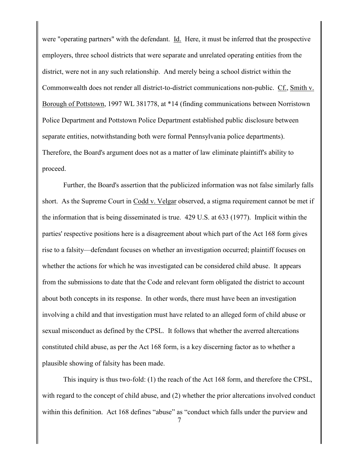were "operating partners" with the defendant. Id. Here, it must be inferred that the prospective employers, three school districts that were separate and unrelated operating entities from the district, were not in any such relationship. And merely being a school district within the Commonwealth does not render all district-to-district communications non-public. Cf., Smith v. Borough of Pottstown, 1997 WL 381778, at \*14 (finding communications between Norristown Police Department and Pottstown Police Department established public disclosure between separate entities, notwithstanding both were formal Pennsylvania police departments). Therefore, the Board's argument does not as a matter of law eliminate plaintiff's ability to proceed.

Further, the Board's assertion that the publicized information was not false similarly falls short. As the Supreme Court in Codd v. Velgar observed, a stigma requirement cannot be met if the information that is being disseminated is true. 429 U.S. at 633 (1977). Implicit within the parties' respective positions here is a disagreement about which part of the Act 168 form gives rise to a falsity—defendant focuses on whether an investigation occurred; plaintiff focuses on whether the actions for which he was investigated can be considered child abuse. It appears from the submissions to date that the Code and relevant form obligated the district to account about both concepts in its response. In other words, there must have been an investigation involving a child and that investigation must have related to an alleged form of child abuse or sexual misconduct as defined by the CPSL. It follows that whether the averred altercations constituted child abuse, as per the Act 168 form, is a key discerning factor as to whether a plausible showing of falsity has been made.

This inquiry is thus two-fold: (1) the reach of the Act 168 form, and therefore the CPSL, with regard to the concept of child abuse, and (2) whether the prior altercations involved conduct within this definition. Act 168 defines "abuse" as "conduct which falls under the purview and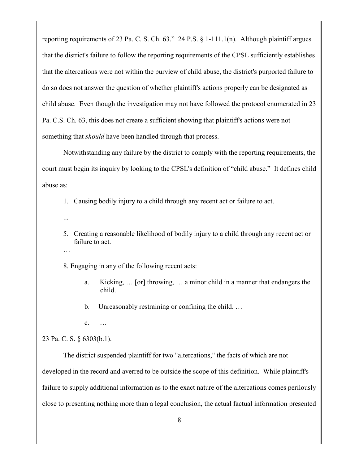reporting requirements of 23 Pa. C. S. Ch. 63." 24 P.S. § 1-111.1(n). Although plaintiff argues that the district's failure to follow the reporting requirements of the CPSL sufficiently establishes that the altercations were not within the purview of child abuse, the district's purported failure to do so does not answer the question of whether plaintiff's actions properly can be designated as child abuse. Even though the investigation may not have followed the protocol enumerated in 23 Pa. C.S. Ch. 63, this does not create a sufficient showing that plaintiff's actions were not something that *should* have been handled through that process.

Notwithstanding any failure by the district to comply with the reporting requirements, the court must begin its inquiry by looking to the CPSL's definition of "child abuse." It defines child abuse as:

1. Causing bodily injury to a child through any recent act or failure to act.

- ...
- 5. Creating a reasonable likelihood of bodily injury to a child through any recent act or failure to act.
- …

8. Engaging in any of the following recent acts:

- a. Kicking, … [or] throwing, … a minor child in a manner that endangers the child.
- b. Unreasonably restraining or confining the child. …
- c. …

## 23 Pa. C. S. § 6303(b.1).

The district suspended plaintiff for two "altercations," the facts of which are not developed in the record and averred to be outside the scope of this definition. While plaintiff's failure to supply additional information as to the exact nature of the altercations comes perilously close to presenting nothing more than a legal conclusion, the actual factual information presented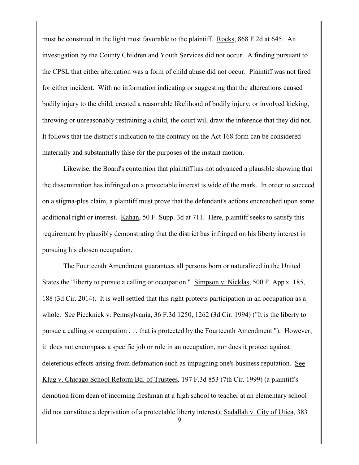must be construed in the light most favorable to the plaintiff. Rocks, 868 F.2d at 645. An investigation by the County Children and Youth Services did not occur. A finding pursuant to the CPSL that either altercation was a form of child abuse did not occur. Plaintiff was not fired for either incident. With no information indicating or suggesting that the altercations caused bodily injury to the child, created a reasonable likelihood of bodily injury, or involved kicking, throwing or unreasonably restraining a child, the court will draw the inference that they did not. It follows that the district's indication to the contrary on the Act 168 form can be considered materially and substantially false for the purposes of the instant motion.

Likewise, the Board's contention that plaintiff has not advanced a plausible showing that the dissemination has infringed on a protectable interest is wide of the mark. In order to succeed on a stigma-plus claim, a plaintiff must prove that the defendant's actions encroached upon some additional right or interest. Kahan, 50 F. Supp. 3d at 711. Here, plaintiff seeks to satisfy this requirement by plausibly demonstrating that the district has infringed on his liberty interest in pursuing his chosen occupation.

The Fourteenth Amendment guarantees all persons born or naturalized in the United States the "liberty to pursue a calling or occupation." Simpson v. Nicklas, 500 F. App'x. 185, 188 (3d Cir. 2014). It is well settled that this right protects participation in an occupation as a whole. See Piecknick v. Pennsylvania, 36 F.3d 1250, 1262 (3d Cir. 1994) ("It is the liberty to pursue a calling or occupation . . . that is protected by the Fourteenth Amendment."). However, it does not encompass a specific job or role in an occupation, nor does it protect against deleterious effects arising from defamation such as impugning one's business reputation. See Klug v. Chicago School Reform Bd. of Trustees, 197 F.3d 853 (7th Cir. 1999) (a plaintiff's demotion from dean of incoming freshman at a high school to teacher at an elementary school did not constitute a deprivation of a protectable liberty interest); Sadallah v. City of Utica, 383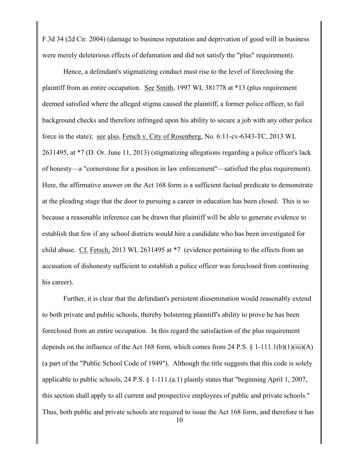F.3d 34 (2d Cir. 2004) (damage to business reputation and deprivation of good will in business were merely deleterious effects of defamation and did not satisfy the "plus" requirement).

Hence, a defendant's stigmatizing conduct must rise to the level of foreclosing the plaintiff from an entire occupation. See Smith, 1997 WL 381778 at \*13 (plus requirement deemed satisfied where the alleged stigma caused the plaintiff, a former police officer, to fail background checks and therefore infringed upon his ability to secure a job with any other police force in the state); see also, Fetsch v. City of Rosenberg, No. 6:11-cv-6343-TC, 2013 WL 2631495, at \*7 (D. Or. June 11, 2013) (stigmatizing allegations regarding a police officer's lack of honesty—a "cornerstone for a position in law enforcement"—satisfied the plus requirement). Here, the affirmative answer on the Act 168 form is a sufficient factual predicate to demonstrate at the pleading stage that the door to pursuing a career in education has been closed. This is so because a reasonable inference can be drawn that plaintiff will be able to generate evidence to establish that few if any school districts would hire a candidate who has been investigated for child abuse. Cf. Fetsch, 2013 WL 2631495 at \*7 (evidence pertaining to the effects from an accusation of dishonesty sufficient to establish a police officer was foreclosed from continuing his career).

Further, it is clear that the defendant's persistent dissemination would reasonably extend to both private and public schools, thereby bolstering plaintiff's ability to prove he has been foreclosed from an entire occupation. In this regard the satisfaction of the plus requirement depends on the influence of the Act 168 form, which comes from 24 P.S.  $\S$  1-111.1(b)(1)(iii)(A) (a part of the "Public School Code of 1949"). Although the title suggests that this code is solely applicable to public schools, 24 P.S. § 1-111.(a.1) plainly states that "beginning April 1, 2007, this section shall apply to all current and prospective employees of public and private schools." Thus, both public and private schools are required to issue the Act 168 form, and therefore it has

10